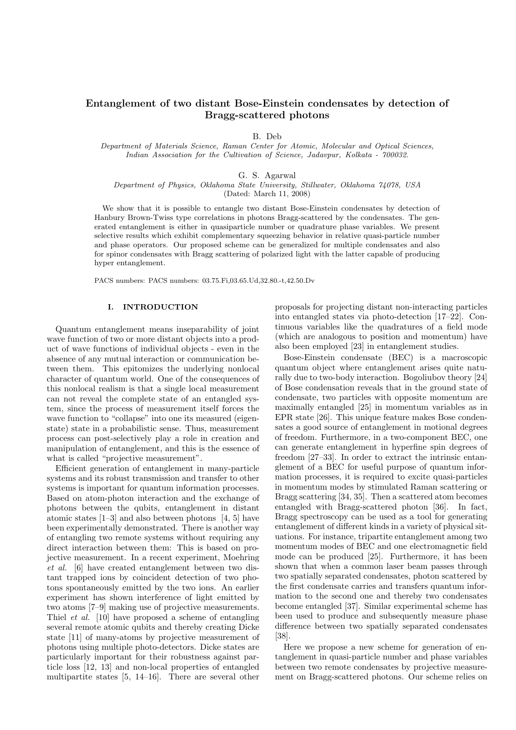# Entanglement of two distant Bose-Einstein condensates by detection of Bragg-scattered photons

B. Deb

Department of Materials Science, Raman Center for Atomic, Molecular and Optical Sciences, Indian Association for the Cultivation of Science, Jadavpur, Kolkata - 700032.

G. S. Agarwal

Department of Physics, Oklahoma State University, Stillwater, Oklahoma 74078, USA

(Dated: March 11, 2008)

We show that it is possible to entangle two distant Bose-Einstein condensates by detection of Hanbury Brown-Twiss type correlations in photons Bragg-scattered by the condensates. The generated entanglement is either in quasiparticle number or quadrature phase variables. We present selective results which exhibit complementary squeezing behavior in relative quasi-particle number and phase operators. Our proposed scheme can be generalized for multiple condensates and also for spinor condensates with Bragg scattering of polarized light with the latter capable of producing hyper entanglement.

PACS numbers: PACS numbers: 03.75.Fi,03.65.Ud,32.80.-t,42.50.Dv

## I. INTRODUCTION

Quantum entanglement means inseparability of joint wave function of two or more distant objects into a product of wave functions of individual objects - even in the absence of any mutual interaction or communication between them. This epitomizes the underlying nonlocal character of quantum world. One of the consequences of this nonlocal realism is that a single local measurement can not reveal the complete state of an entangled system, since the process of measurement itself forces the wave function to "collapse" into one its measured (eigenstate) state in a probabilistic sense. Thus, measurement process can post-selectively play a role in creation and manipulation of entanglement, and this is the essence of what is called "projective measurement".

Efficient generation of entanglement in many-particle systems and its robust transmission and transfer to other systems is important for quantum information processes. Based on atom-photon interaction and the exchange of photons between the qubits, entanglement in distant atomic states [1–3] and also between photons [4, 5] have been experimentally demonstrated. There is another way of entangling two remote systems without requiring any direct interaction between them: This is based on projective measurement. In a recent experiment, Moehring et al. [6] have created entanglement between two distant trapped ions by coincident detection of two photons spontaneously emitted by the two ions. An earlier experiment has shown interference of light emitted by two atoms [7–9] making use of projective measurements. Thiel et al. [10] have proposed a scheme of entangling several remote atomic qubits and thereby creating Dicke state [11] of many-atoms by projective measurement of photons using multiple photo-detectors. Dicke states are particularly important for their robustness against particle loss [12, 13] and non-local properties of entangled multipartite states [5, 14–16]. There are several other

proposals for projecting distant non-interacting particles into entangled states via photo-detection [17–22]. Continuous variables like the quadratures of a field mode (which are analogous to position and momentum) have also been employed [23] in entanglement studies.

Bose-Einstein condensate (BEC) is a macroscopic quantum object where entanglement arises quite naturally due to two-body interaction. Bogoliubov theory [24] of Bose condensation reveals that in the ground state of condensate, two particles with opposite momentum are maximally entangled [25] in momentum variables as in EPR state [26]. This unique feature makes Bose condensates a good source of entanglement in motional degrees of freedom. Furthermore, in a two-component BEC, one can generate entanglement in hyperfine spin degrees of freedom [27–33]. In order to extract the intrinsic entanglement of a BEC for useful purpose of quantum information processes, it is required to excite quasi-particles in momentum modes by stimulated Raman scattering or Bragg scattering [34, 35]. Then a scattered atom becomes entangled with Bragg-scattered photon [36]. In fact, Bragg spectroscopy can be used as a tool for generating entanglement of different kinds in a variety of physical situations. For instance, tripartite entanglement among two momentum modes of BEC and one electromagnetic field mode can be produced [25]. Furthermore, it has been shown that when a common laser beam passes through two spatially separated condensates, photon scattered by the first condensate carries and transfers quantum information to the second one and thereby two condensates become entangled [37]. Similar experimental scheme has been used to produce and subsequently measure phase difference between two spatially separated condensates [38].

Here we propose a new scheme for generation of entanglement in quasi-particle number and phase variables between two remote condensates by projective measurement on Bragg-scattered photons. Our scheme relies on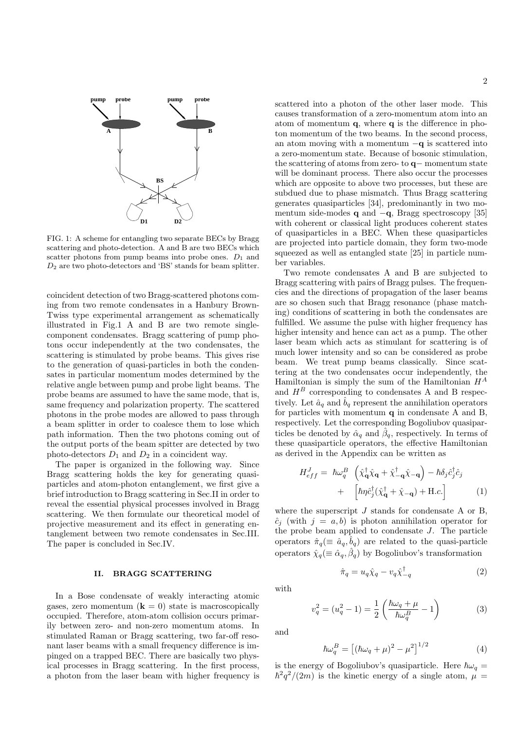

FIG. 1: A scheme for entangling two separate BECs by Bragg scattering and photo-detection. A and B are two BECs which scatter photons from pump beams into probe ones.  $D_1$  and  $D_2$  are two photo-detectors and 'BS' stands for beam splitter.

coincident detection of two Bragg-scattered photons coming from two remote condensates in a Hanbury Brown-Twiss type experimental arrangement as schematically illustrated in Fig.1 A and B are two remote singlecomponent condensates. Bragg scattering of pump photons occur independently at the two condensates, the scattering is stimulated by probe beams. This gives rise to the generation of quasi-particles in both the condensates in particular momentum modes determined by the relative angle between pump and probe light beams. The probe beams are assumed to have the same mode, that is, same frequency and polarization property. The scattered photons in the probe modes are allowed to pass through a beam splitter in order to coalesce them to lose which path information. Then the two photons coming out of the output ports of the beam spitter are detected by two photo-detectors  $D_1$  and  $D_2$  in a coincident way.

The paper is organized in the following way. Since Bragg scattering holds the key for generating quasiparticles and atom-photon entanglement, we first give a brief introduction to Bragg scattering in Sec.II in order to reveal the essential physical processes involved in Bragg scattering. We then formulate our theoretical model of projective measurement and its effect in generating entanglement between two remote condensates in Sec.III. The paper is concluded in Sec.IV.

## II. BRAGG SCATTERING

In a Bose condensate of weakly interacting atomic gases, zero momentum  $(k = 0)$  state is macroscopically occupied. Therefore, atom-atom collision occurs primarily between zero- and non-zero momentum atoms. In stimulated Raman or Bragg scattering, two far-off resonant laser beams with a small frequency difference is impinged on a trapped BEC. There are basically two physical processes in Bragg scattering. In the first process, a photon from the laser beam with higher frequency is scattered into a photon of the other laser mode. This causes transformation of a zero-momentum atom into an atom of momentum  $q$ , where  $q$  is the difference in photon momentum of the two beams. In the second process, an atom moving with a momentum  $-q$  is scattered into a zero-momentum state. Because of bosonic stimulation, the scattering of atoms from zero- to q− momentum state will be dominant process. There also occur the processes which are opposite to above two processes, but these are subdued due to phase mismatch. Thus Bragg scattering generates quasiparticles [34], predominantly in two momentum side-modes q and −q, Bragg spectroscopy [35] with coherent or classical light produces coherent states of quasiparticles in a BEC. When these quasiparticles are projected into particle domain, they form two-mode squeezed as well as entangled state [25] in particle number variables.

Two remote condensates A and B are subjected to Bragg scattering with pairs of Bragg pulses. The frequencies and the directions of propagation of the laser beams are so chosen such that Bragg resonance (phase matching) conditions of scattering in both the condensates are fulfilled. We assume the pulse with higher frequency has higher intensity and hence can act as a pump. The other laser beam which acts as stimulant for scattering is of much lower intensity and so can be considered as probe beam. We treat pump beams classically. Since scattering at the two condensates occur independently, the Hamiltonian is simply the sum of the Hamiltonian  $H^A$ and  $H^B$  corresponding to condensates A and B respectively. Let  $\hat{a}_q$  and  $\hat{b}_q$  represent the annihilation operators for particles with momentum  $q$  in condensate  $A$  and  $B$ , respectively. Let the corresponding Bogoliubov quasiparticles be denoted by  $\hat{\alpha}_q$  and  $\hat{\beta}_q$ , respectively. In terms of these quasiparticle operators, the effective Hamiltonian as derived in the Appendix can be written as

$$
H_{eff}^{J} = \hbar \omega_{q}^{B} \left( \hat{\chi}_{\mathbf{q}}^{\dagger} \hat{\chi}_{\mathbf{q}} + \hat{\chi}_{-\mathbf{q}}^{\dagger} \hat{\chi}_{-\mathbf{q}} \right) - \hbar \delta_{j} \hat{c}_{j}^{\dagger} \hat{c}_{j} + \left[ \hbar \eta \hat{c}_{j}^{\dagger} (\hat{\chi}_{\mathbf{q}}^{\dagger} + \hat{\chi}_{-\mathbf{q}}) + \text{H.c.} \right]
$$
 (1)

where the superscript  $J$  stands for condensate A or B.  $\hat{c}_i$  (with  $j = a, b$ ) is photon annihilation operator for the probe beam applied to condensate  $J$ . The particle operators  $\hat{\pi}_q (\equiv \hat{a}_q, \hat{b}_q)$  are related to the quasi-particle operators  $\hat{\chi}_q (\equiv \hat{\alpha}_q, \hat{\beta}_q)$  by Bogoliubov's transformation

$$
\hat{\pi}_q = u_q \hat{\chi}_q - v_q \hat{\chi}_{-q}^{\dagger} \tag{2}
$$

with

$$
v_q^2 = (u_q^2 - 1) = \frac{1}{2} \left( \frac{\hbar \omega_q + \mu}{\hbar \omega_q^B} - 1 \right)
$$
 (3)

and

$$
\hbar\omega_q^B = \left[ (\hbar\omega_q + \mu)^2 - \mu^2 \right]^{1/2} \tag{4}
$$

is the energy of Bogoliubov's quasiparticle. Here  $\hbar\omega_q =$  $\hbar^2 q^2/(2m)$  is the kinetic energy of a single atom,  $\mu =$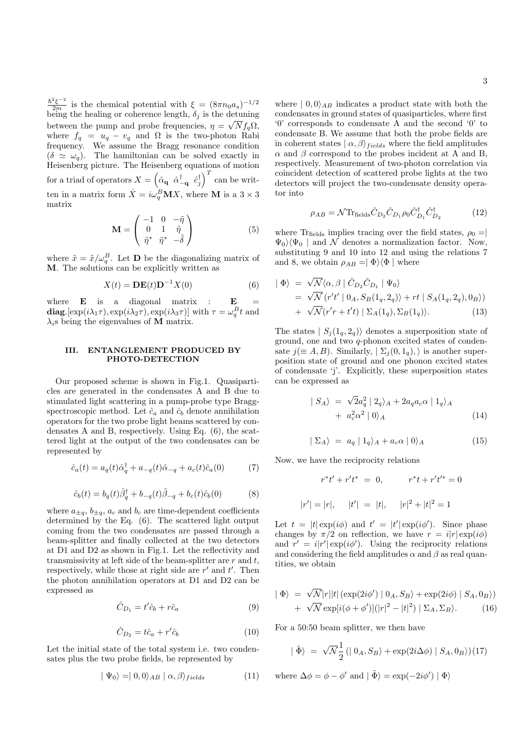$\frac{\hbar^2 \xi^{-2}}{2m}$  is the chemical potential with  $\xi = (8\pi n_0 a_s)^{-1/2}$ being the healing or coherence length,  $\delta_j$  is the detuning between the pump and probe frequencies,  $\eta = \sqrt{N} f_q \Omega$ , where  $f_q = u_q - v_q$  and  $\Omega$  is the two-photon Rabi frequency. We assume the Bragg resonance condition  $(\delta \simeq \omega_q)$ . The hamiltonian can be solved exactly in Heisenberg picture. The Heisenberg equations of motion for a triad of operators  $X =$ dّ<br>م  $\hat{\alpha}_{\bf q}$   $\hat{\alpha}_{-{\bf q}}^\dagger$   $\hat{c}_j^\dagger$  $\sqrt{T}$ can be written in a matrix form  $\dot{X} = i\omega_q^B \mathbf{M} X$ , where **M** is a  $3 \times 3$ matrix  $\overline{\phantom{a}}$  $\mathbf{r}$ 

$$
\mathbf{M} = \begin{pmatrix} -1 & 0 & -\tilde{\eta} \\ 0 & 1 & \tilde{\eta} \\ \tilde{\eta}^* & \tilde{\eta}^* & -\tilde{\delta} \end{pmatrix}
$$
 (5)

where  $\tilde{x} = \tilde{x}/\omega_q^B$ . Let **D** be the diagonalizing matrix of M. The solutions can be explicitly written as

$$
X(t) = \mathbf{DE}(t)\mathbf{D}^{-1}X(0)
$$
 (6)

where  $\bf{E}$  is a diagonal matrix :  $\bf{E}$ diag. [exp( $i\lambda_1\tau$ ), exp( $i\lambda_2\tau$ ), exp( $i\lambda_3\tau$ )] with  $\tau = \omega_q^B t$  and  $\lambda_i$ s being the eigenvalues of **M** matrix.

## III. ENTANGLEMENT PRODUCED BY PHOTO-DETECTION

Our proposed scheme is shown in Fig.1. Quasiparticles are generated in the condensates A and B due to stimulated light scattering in a pump-probe type Braggspectroscopic method. Let  $\hat{c}_a$  and  $\hat{c}_b$  denote annihilation operators for the two probe light beams scattered by condensates A and B, respectively. Using Eq. (6), the scattered light at the output of the two condensates can be represented by

$$
\hat{c}_a(t) = a_q(t)\hat{\alpha}_q^{\dagger} + a_{-q}(t)\hat{\alpha}_{-q} + a_c(t)\hat{c}_a(0)
$$
 (7)

$$
\hat{c}_b(t) = b_q(t)\hat{\beta}_q^{\dagger} + b_{-q}(t)\hat{\beta}_{-q} + b_c(t)\hat{c}_b(0)
$$
 (8)

where  $a_{\pm q}$ ,  $b_{\pm q}$ ,  $a_c$  and  $b_c$  are time-dependent coefficients determined by the Eq. (6). The scattered light output coming from the two condensates are passed through a beam-splitter and finally collected at the two detectors at D1 and D2 as shown in Fig.1. Let the reflectivity and transmissivity at left side of the beam-splitter are  $r$  and  $t$ , respectively, while those at right side are  $r'$  and  $t'$ . Then the photon annihilation operators at D1 and D2 can be expressed as

$$
\hat{C}_{D_1} = t'\hat{c}_b + r\hat{c}_a \tag{9}
$$

$$
\hat{C}_{D_2} = t\hat{c}_a + r'\hat{c}_b \tag{10}
$$

Let the initial state of the total system i.e. two condensates plus the two probe fields, be represented by

$$
|\Psi_0\rangle = |0,0\rangle_{AB} | \alpha, \beta\rangle_{fields} \tag{11}
$$

where  $| 0, 0 \rangle_{AB}$  indicates a product state with both the condensates in ground states of quasiparticles, where first '0' corresponds to condensate A and the second '0' to condensate B. We assume that both the probe fields are in coherent states  $|\alpha, \beta\rangle_{fields}$  where the field amplitudes  $\alpha$  and  $\beta$  correspond to the probes incident at A and B, respectively. Measurement of two-photon correlation via coincident detection of scattered probe lights at the two detectors will project the two-condensate density operator into

$$
\rho_{AB} = \mathcal{N} \text{Tr}_{\text{fields}} \hat{C}_{D_2} \hat{C}_{D_1} \rho_0 \hat{C}_{D_1}^{\dagger} \hat{C}_{D_2}^{\dagger} \tag{12}
$$

where Tr<sub>fields</sub> implies tracing over the field states,  $\rho_0 =$  $\Psi_0 \backslash \Psi_0$  | and N denotes a normalization factor. Now, substituting 9 and 10 into 12 and using the relations 7 and 8, we obtain  $\rho_{AB} = |\Phi\rangle\langle\Phi|$  where

$$
\begin{aligned}\n|\Phi\rangle &= \sqrt{\mathcal{N}} \langle \alpha, \beta | \hat{C}_{D_2} \hat{C}_{D_1} | \Psi_0 \rangle \\
&= \sqrt{\mathcal{N}} \left( r' t' | 0_A, S_B(1_q, 2_q) \rangle + rt | S_A(1_q, 2_q), 0_B \rangle \right) \\
&+ \sqrt{\mathcal{N}} (r' r + t' t) | \Sigma_A(1_q), \Sigma_B(1_q) \rangle. \n\end{aligned} \tag{13}
$$

The states  $| S_j(1_q, 2_q) \rangle$  denotes a superposition state of ground, one and two q-phonon excited states of condensate  $j(\equiv A, B)$ . Similarly,  $\mid \Sigma_i(0, 1_q)$ , is another superposition state of ground and one phonon excited states of condensate 'j'. Explicitly, these superposition states can be expressed as

$$
\begin{aligned}\n| S_A \rangle &= \sqrt{2}a_q^2 \left| 2_q \right\rangle_A + 2a_q a_c \alpha \left| 1_q \right\rangle_A \\
&\quad + a_c^2 \alpha^2 \left| 0 \right\rangle_A\n\end{aligned} \tag{14}
$$

$$
|\Sigma_A\rangle = a_q | 1_q\rangle_A + a_c \alpha | 0\rangle_A \tag{15}
$$

Now, we have the reciprocity relations

$$
r^*t' + r't^* = 0, \qquad r^*t + r't'^* = 0
$$
  

$$
|r'| = |r|, \quad |t'| = |t|, \quad |r|^2 + |t|^2 = 1
$$

Let  $t = |t| \exp(i\phi)$  and  $t' = |t'| \exp(i\phi')$ . Since phase changes by  $\pi/2$  on reflection, we have  $r = i|r| \exp(i\phi)$ and  $r' = i|r'|\exp(i\phi')$ . Using the reciprocity relations and considering the field amplitudes  $\alpha$  and  $\beta$  as real quantities, we obtain

$$
|\Phi\rangle = \sqrt{\mathcal{N}}|r||t| \left(\exp(2i\phi') | 0_A, S_B \right) + \exp(2i\phi) | S_A, 0_B \rangle) + \sqrt{\mathcal{N}} \exp[i(\phi + \phi')] (|r|^2 - |t|^2) | \Sigma_A, \Sigma_B \rangle.
$$
 (16)

For a 50:50 beam splitter, we then have

$$
|\tilde{\Phi}\rangle = \sqrt{\mathcal{N}} \frac{1}{2} (|0_A, S_B\rangle + \exp(2i\Delta\phi) | S_A, 0_B\rangle)(17)
$$

where 
$$
\Delta \phi = \phi - \phi'
$$
 and  $|\tilde{\Phi}\rangle = \exp(-2i\phi') | \Phi \rangle$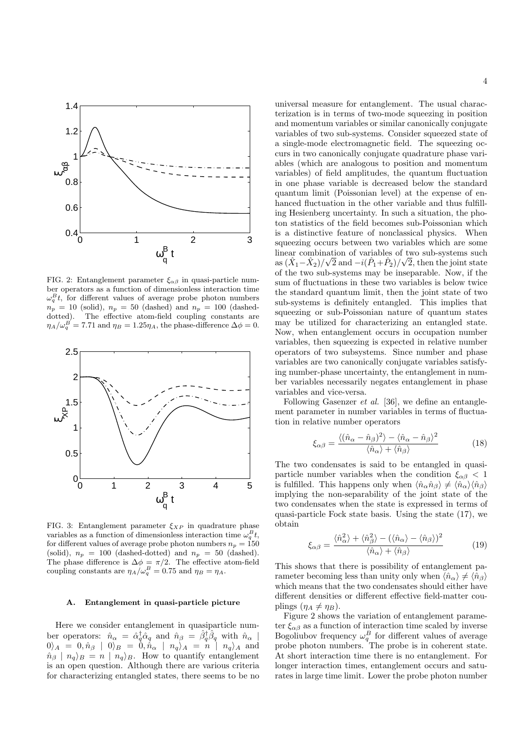

FIG. 2: Entanglement parameter  $\xi_{\alpha\beta}$  in quasi-particle number operators as a function of dimensionless interaction time  $\omega_q^B t$ , for different values of average probe photon numbers  $n_p = 10$  (solid),  $n_p = 50$  (dashed) and  $n_p = 100$  (dasheddotted). The effective atom-field coupling constants are  $\eta_A/\omega_q^B = 7.71$  and  $\eta_B = 1.25\eta_A$ , the phase-difference  $\Delta\phi = 0$ .



FIG. 3: Entanglement parameter  $\xi_{XP}$  in quadrature phase variables as a function of dimensionless interaction time  $\omega_q^B t$ , for different values of average probe photon numbers  $n_p = 150$ (solid),  $n_p = 100$  (dashed-dotted) and  $n_p = 50$  (dashed). The phase difference is  $\Delta \phi = \pi/2$ . The effective atom-field coupling constants are  $\eta_A/\omega_q^B = 0.75$  and  $\eta_B = \eta_A$ .

#### A. Entanglement in quasi-particle picture

Here we consider entanglement in quasiparticle number operators:  $\hat{n}_{\alpha} = \hat{\alpha}_{q}^{\dagger} \hat{\alpha}_{q}$  and  $\hat{n}_{\beta} = \hat{\beta}_{q}^{\dagger} \hat{\beta}_{q}$  with  $\hat{n}_{\alpha}$  $|0\rangle_A = |0\rangle_{\hat{B}}|_{B} = |0\rangle_{\hat{B}}|_{B} = |0\rangle_{\hat{B}}|_{B} + |n_q\rangle_{A} = |n_l|_{B} + |n_q\rangle_{A}$  and  $\hat{n}_{\beta} \mid n_q \rangle_B = n \mid n_q \rangle_B$ . How to quantify entanglement is an open question. Although there are various criteria for characterizing entangled states, there seems to be no

universal measure for entanglement. The usual characterization is in terms of two-mode squeezing in position and momentum variables or similar canonically conjugate variables of two sub-systems. Consider squeezed state of a single-mode electromagnetic field. The squeezing occurs in two canonically conjugate quadrature phase variables (which are analogous to position and momentum variables) of field amplitudes, the quantum fluctuation in one phase variable is decreased below the standard quantum limit (Poissonian level) at the expense of enhanced fluctuation in the other variable and thus fulfilling Hesienberg uncertainty. In such a situation, the photon statistics of the field becomes sub-Poissonian which is a distinctive feature of nonclassical physics. When squeezing occurs between two variables which are some linear combination of variables of two sub-systems such as  $(\hat{X}_1 - \hat{X}_2)/\sqrt{2}$  and  $-i(\hat{P}_1 + \hat{P}_2)/\sqrt{2}$ , then the joint state of the two sub-systems may be inseparable. Now, if the sum of fluctuations in these two variables is below twice the standard quantum limit, then the joint state of two sub-systems is definitely entangled. This implies that squeezing or sub-Poissonian nature of quantum states may be utilized for characterizing an entangled state. Now, when entanglement occurs in occupation number variables, then squeezing is expected in relative number operators of two subsystems. Since number and phase variables are two canonically conjugate variables satisfying number-phase uncertainty, the entanglement in number variables necessarily negates entanglement in phase variables and vice-versa.

Following Gasenzer et al. [36], we define an entanglement parameter in number variables in terms of fluctuation in relative number operators

$$
\xi_{\alpha\beta} = \frac{\langle (\hat{n}_{\alpha} - \hat{n}_{\beta})^2 \rangle - \langle \hat{n}_{\alpha} - \hat{n}_{\beta} \rangle^2}{\langle \hat{n}_{\alpha} \rangle + \langle \hat{n}_{\beta} \rangle} \tag{18}
$$

The two condensates is said to be entangled in quasiparticle number variables when the condition  $\xi_{\alpha\beta} < 1$ is fulfilled. This happens only when  $\langle \hat{n}_{\alpha} \hat{n}_{\beta} \rangle \neq \langle \hat{n}_{\alpha} \rangle \langle \hat{n}_{\beta} \rangle$ implying the non-separability of the joint state of the two condensates when the state is expressed in terms of quasi-particle Fock state basis. Using the state (17), we obtain

$$
\xi_{\alpha\beta} = \frac{\langle \hat{n}_{\alpha}^2 \rangle + \langle \hat{n}_{\beta}^2 \rangle - (\langle \hat{n}_{\alpha} \rangle - \langle \hat{n}_{\beta} \rangle)^2}{\langle \hat{n}_{\alpha} \rangle + \langle \hat{n}_{\beta} \rangle} \tag{19}
$$

This shows that there is possibility of entanglement parameter becoming less than unity only when  $\langle \hat{n}_{\alpha} \rangle \neq \langle \hat{n}_{\beta} \rangle$ which means that the two condensates should either have different densities or different effective field-matter couplings  $(\eta_A \neq \eta_B)$ .

Figure 2 shows the variation of entanglement parameter  $\xi_{\alpha\beta}$  as a function of interaction time scaled by inverse Bogoliubov frequency  $\omega_q^B$  for different values of average probe photon numbers. The probe is in coherent state. At short interaction time there is no entanglement. For longer interaction times, entanglement occurs and saturates in large time limit. Lower the probe photon number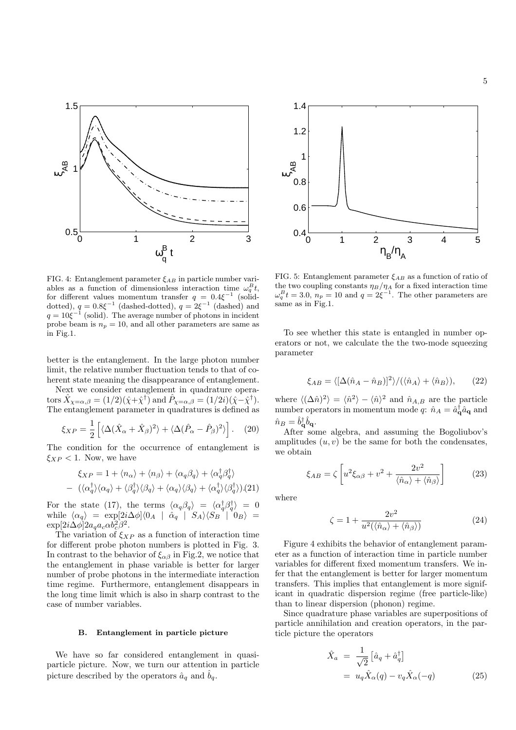

FIG. 4: Entanglement parameter  $\xi_{AB}$  in particle number variables as a function of dimensionless interaction time  $\omega_q^B t$ , for different values momentum transfer  $q = 0.4 \xi^{-1}$  (soliddotted),  $q = 0.8\xi^{-1}$  (dashed-dotted),  $q = 2\xi^{-1}$  (dashed) and  $q = 10 \xi^{-1}$  (solid). The average number of photons in incident probe beam is  $n_p = 10$ , and all other parameters are same as in Fig.1.

better is the entanglement. In the large photon number limit, the relative number fluctuation tends to that of coherent state meaning the disappearance of entanglement.

Next we consider entanglement in quadrature operators  $\hat{X}_{\chi=\alpha,\beta} = (1/2)(\hat{\chi} + \hat{\chi}^{\dagger})$  and  $\hat{P}_{\chi=\alpha,\beta} = (1/2i)(\hat{\chi} - \hat{\chi}^{\dagger}).$ The entanglement parameter in quadratures is defined as

$$
\xi_{XP} = \frac{1}{2} \left[ \langle \Delta (\hat{X}_{\alpha} + \hat{X}_{\beta})^2 \rangle + \langle \Delta (\hat{P}_{\alpha} - \hat{P}_{\beta})^2 \rangle \right]. \quad (20)
$$

The condition for the occurrence of entanglement is  $\xi_{XP}$  < 1. Now, we have

$$
\xi_{XP} = 1 + \langle n_{\alpha} \rangle + \langle n_{\beta} \rangle + \langle \alpha_q \beta_q \rangle + \langle \alpha_q^{\dagger} \beta_q^{\dagger} \rangle
$$
  
-  $(\langle \alpha_q^{\dagger} \rangle \langle \alpha_q \rangle + \langle \beta_q^{\dagger} \rangle \langle \beta_q \rangle + \langle \alpha_q \rangle \langle \beta_q \rangle + \langle \alpha_q^{\dagger} \rangle \langle \beta_q^{\dagger} \rangle). (21)$ 

For the state (17), the terms  $\langle \alpha_q \beta_q \rangle = \langle \alpha_q^{\dagger} \beta_q^{\dagger} \rangle = 0$ while  $\langle \alpha_q \rangle = \exp[2i\Delta\phi] \langle 0_A | \hat{\alpha}_q | S_A \rangle \langle S_B | 0_B \rangle =$  $\exp[2i\Delta\phi]2a_qa_c\alpha b_c^2\beta^2.$ 

The variation of  $\xi_{XP}$  as a function of interaction time for different probe photon numbers is plotted in Fig. 3. In contrast to the behavior of  $\xi_{\alpha\beta}$  in Fig.2, we notice that the entanglement in phase variable is better for larger number of probe photons in the intermediate interaction time regime. Furthermore, entanglement disappears in the long time limit which is also in sharp contrast to the case of number variables.

## B. Entanglement in particle picture

We have so far considered entanglement in quasiparticle picture. Now, we turn our attention in particle picture described by the operators  $\hat{a}_q$  and  $b_q$ .



FIG. 5: Entanglement parameter  $\xi_{AB}$  as a function of ratio of the two coupling constants  $\eta_B/\eta_A$  for a fixed interaction time  $\omega_q^B t = 3.0, n_p = 10$  and  $q = 2 \xi^{-1}$ . The other parameters are same as in Fig.1.

To see whether this state is entangled in number operators or not, we calculate the the two-mode squeezing parameter

$$
\xi_{AB} = \langle [\Delta(\hat{n}_A - \hat{n}_B)]^2 \rangle / (\langle \hat{n}_A \rangle + \langle \hat{n}_B \rangle), \qquad (22)
$$

where  $\langle (\Delta \hat{n})^2 \rangle = \langle \hat{n}^2 \rangle - \langle \hat{n} \rangle^2$  and  $\hat{n}_{A,B}$  are the particle number operators in momentum mode q:  $\hat{n}_A = \hat{a}_{\mathbf{q}}^\dagger \hat{a}_{\mathbf{q}}$  and  $\hat{n}_B = \hat{b}_{\bf q}^\dagger \hat{b}_{\bf q}.$ 

After some algebra, and assuming the Bogoliubov's amplitudes  $(u, v)$  be the same for both the condensates, we obtain

$$
\xi_{AB} = \zeta \left[ u^2 \xi_{\alpha\beta} + v^2 + \frac{2v^2}{\langle \hat{n}_{\alpha} \rangle + \langle \hat{n}_{\beta} \rangle} \right]
$$
(23)

where

$$
\zeta = 1 + \frac{2v^2}{u^2(\langle \hat{n}_{\alpha} \rangle + \langle \hat{n}_{\beta} \rangle)}
$$
(24)

Figure 4 exhibits the behavior of entanglement parameter as a function of interaction time in particle number variables for different fixed momentum transfers. We infer that the entanglement is better for larger momentum transfers. This implies that entanglement is more significant in quadratic dispersion regime (free particle-like) than to linear dispersion (phonon) regime.

Since quadrature phase variables are superpositions of particle annihilation and creation operators, in the particle picture the operators

$$
\hat{X}_a = \frac{1}{\sqrt{2}} \left[ \hat{a}_q + \hat{a}_q^{\dagger} \right]
$$

$$
= u_q \hat{X}_\alpha(q) - v_q \hat{X}_\alpha(-q) \tag{25}
$$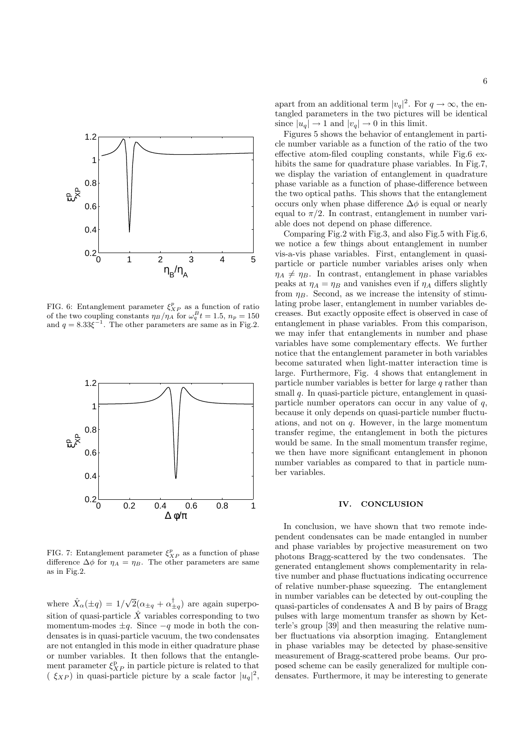

FIG. 6: Entanglement parameter  $\xi_{XP}^p$  as a function of ratio of the two coupling constants  $\eta_B/\eta_A$  for  $\omega_q^B t = 1.5$ ,  $n_p = 150$ and  $q = 8.33\xi^{-1}$ . The other parameters are same as in Fig.2.



FIG. 7: Entanglement parameter  $\xi_{XP}^p$  as a function of phase difference  $\Delta \phi$  for  $\eta_A = \eta_B$ . The other parameters are same as in Fig.2.

where  $\hat{X}_{\alpha}(\pm q) = 1/2$ √  $\overline{2}(\alpha_{\pm q} + \alpha_{\pm q}^{\dagger})$  are again superposition of quasi-particle  $\hat{X}$  variables corresponding to two momentum-modes  $\pm q$ . Since  $-q$  mode in both the condensates is in quasi-particle vacuum, the two condensates are not entangled in this mode in either quadrature phase or number variables. It then follows that the entanglement parameter  $\xi_{XP}^{\mathrm{p}}$  in particle picture is related to that  $(\xi_{XP})$  in quasi-particle picture by a scale factor  $|u_q|^2$ ,

apart from an additional term  $|v_q|^2$ . For  $q \to \infty$ , the entangled parameters in the two pictures will be identical since  $|u_q| \to 1$  and  $|v_q| \to 0$  in this limit.

Figures 5 shows the behavior of entanglement in particle number variable as a function of the ratio of the two effective atom-filed coupling constants, while Fig.6 exhibits the same for quadrature phase variables. In Fig.7, we display the variation of entanglement in quadrature phase variable as a function of phase-difference between the two optical paths. This shows that the entanglement occurs only when phase difference  $\Delta \phi$  is equal or nearly equal to  $\pi/2$ . In contrast, entanglement in number variable does not depend on phase difference.

Comparing Fig.2 with Fig.3, and also Fig.5 with Fig.6, we notice a few things about entanglement in number vis-a-vis phase variables. First, entanglement in quasiparticle or particle number variables arises only when  $\eta_A \neq \eta_B$ . In contrast, entanglement in phase variables peaks at  $\eta_A = \eta_B$  and vanishes even if  $\eta_A$  differs slightly from  $\eta_B$ . Second, as we increase the intensity of stimulating probe laser, entanglement in number variables decreases. But exactly opposite effect is observed in case of entanglement in phase variables. From this comparison, we may infer that entanglements in number and phase variables have some complementary effects. We further notice that the entanglement parameter in both variables become saturated when light-matter interaction time is large. Furthermore, Fig. 4 shows that entanglement in particle number variables is better for large  $q$  rather than small  $q$ . In quasi-particle picture, entanglement in quasiparticle number operators can occur in any value of  $q$ , because it only depends on quasi-particle number fluctuations, and not on  $q$ . However, in the large momentum transfer regime, the entanglement in both the pictures would be same. In the small momentum transfer regime, we then have more significant entanglement in phonon number variables as compared to that in particle number variables.

## IV. CONCLUSION

In conclusion, we have shown that two remote independent condensates can be made entangled in number and phase variables by projective measurement on two photons Bragg-scattered by the two condensates. The generated entanglement shows complementarity in relative number and phase fluctuations indicating occurrence of relative number-phase squeezing. The entanglement in number variables can be detected by out-coupling the quasi-particles of condensates A and B by pairs of Bragg pulses with large momentum transfer as shown by Ketterle's group [39] and then measuring the relative number fluctuations via absorption imaging. Entanglement in phase variables may be detected by phase-sensitive measurement of Bragg-scattered probe beams. Our proposed scheme can be easily generalized for multiple condensates. Furthermore, it may be interesting to generate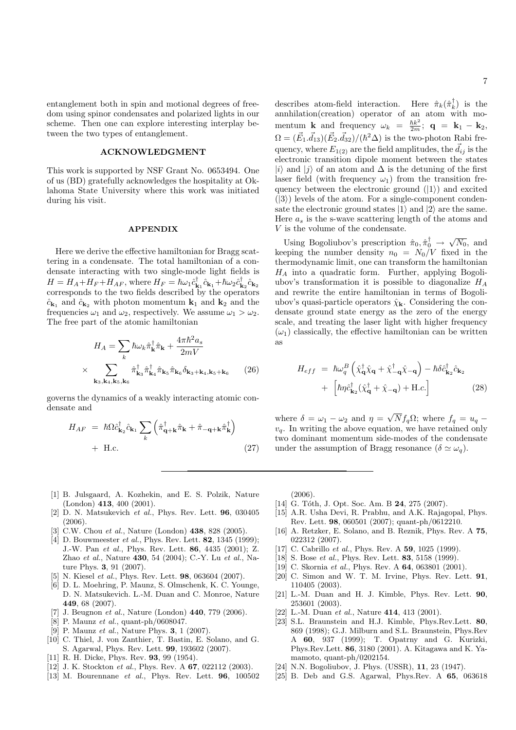entanglement both in spin and motional degrees of freedom using spinor condensates and polarized lights in our scheme. Then one can explore interesting interplay between the two types of entanglement.

## ACKNOWLEDGMENT

This work is supported by NSF Grant No. 0653494. One of us (BD) gratefully acknowledges the hospitality at Oklahoma State University where this work was initiated during his visit.

#### APPENDIX

Here we derive the effective hamiltonian for Bragg scattering in a condensate. The total hamiltonian of a condensate interacting with two single-mode light fields is  $H = H_A + H_F + H_{AF}$ , where  $H_F = \hbar \omega_1 \hat{c}_{\mathbf{k}_1}^{\dagger} \hat{c}_{\mathbf{k}_1} + \hbar \omega_2 \hat{c}_{\mathbf{k}_2}^{\dagger} \hat{c}_{\mathbf{k}_2}$ corresponds to the two fields described by the operators  $\hat{c}_{\mathbf{k}_1}$  and  $\hat{c}_{\mathbf{k}_2}$  with photon momentum  $\mathbf{k}_1$  and  $\mathbf{k}_2$  and the frequencies  $\omega_1$  and  $\omega_2$ , respectively. We assume  $\omega_1 > \omega_2$ . The free part of the atomic hamiltonian

$$
H_A = \sum_k \hbar \omega_k \hat{\pi}_{\mathbf{k}}^{\dagger} \hat{\pi}_{\mathbf{k}} + \frac{4\pi \hbar^2 a_s}{2mV}
$$

$$
\times \sum_{\mathbf{k}_3, \mathbf{k}_4, \mathbf{k}_5, \mathbf{k}_6} \hat{\pi}_{\mathbf{k}_3}^{\dagger} \hat{\pi}_{\mathbf{k}_4}^{\dagger} \hat{\pi}_{\mathbf{k}_5} \hat{\pi}_{\mathbf{k}_6} \delta_{\mathbf{k}_3 + \mathbf{k}_4, \mathbf{k}_5 + \mathbf{k}_6} \qquad (26)
$$

governs the dynamics of a weakly interacting atomic condensate and

$$
H_{AF} = \hbar \Omega \hat{c}_{\mathbf{k}_2}^{\dagger} \hat{c}_{\mathbf{k}_1} \sum_{k} \left( \hat{\pi}_{\mathbf{q}+\mathbf{k}}^{\dagger} \hat{\pi}_{\mathbf{k}} + \hat{\pi}_{-\mathbf{q}+\mathbf{k}} \hat{\pi}_{\mathbf{k}}^{\dagger} \right) + \text{H.c.}
$$
\n(27)

describes atom-field interaction. Here  $\hat{\pi}_k(\hat{\pi}_k^{\dagger})$  is the annhilation(creation) operator of an atom with momentum **k** and frequency  $\omega_k = \frac{\hbar k^2}{2m}$ ; **q** = **k**<sub>1</sub> - **k**<sub>2</sub>,  $\Omega = (\vec{E_1} \cdot \vec{d_{13}})(\vec{E_2} \cdot \vec{d_{32}})/(\hbar^2 \Delta)$  is the two-photon Rabi frequency, where  $E_{1(2)}$  are the field amplitudes, the  $\vec{d}_{ij}$  is the electronic transition dipole moment between the states  $|i\rangle$  and  $|j\rangle$  of an atom and  $\Delta$  is the detuning of the first laser field (with frequency  $\omega_1$ ) from the transition frequency between the electronic ground  $(|1\rangle)$  and excited  $(|3\rangle)$  levels of the atom. For a single-component condensate the electronic ground states  $|1\rangle$  and  $|2\rangle$  are the same. Here  $a_s$  is the s-wave scattering length of the atoms and V is the volume of the condensate.

Using Bogoliubov's prescription  $\hat{\pi}_0, \hat{\pi}_0^{\dagger} \rightarrow \sqrt{N_0}$ , and keeping the number density  $n_0 = N_0/V$  fixed in the thermodynamic limit, one can transform the hamiltonian  $H_A$  into a quadratic form. Further, applying Bogoliubov's transformation it is possible to diagonalize  $H_A$ and rewrite the entire hamiltonian in terms of Bogoliubov's quasi-particle operators  $\hat{\chi}_{\mathbf{k}}$ . Considering the condensate ground state energy as the zero of the energy scale, and treating the laser light with higher frequency  $(\omega_1)$  classically, the effective hamiltonian can be written as

$$
H_{eff} = \hbar\omega_q^B \left( \hat{\chi}_{\mathbf{q}}^{\dagger} \hat{\chi}_{\mathbf{q}} + \hat{\chi}_{-\mathbf{q}}^{\dagger} \hat{\chi}_{-\mathbf{q}} \right) - \hbar \delta \hat{c}_{\mathbf{k}_2}^{\dagger} \hat{c}_{\mathbf{k}_2} + \left[ \hbar \eta \hat{c}_{\mathbf{k}_2}^{\dagger} (\hat{\chi}_{\mathbf{q}}^{\dagger} + \hat{\chi}_{-\mathbf{q}}) + \text{H.c.} \right]
$$
(28)

where  $\delta = \omega_1 - \omega_2$  and  $\eta =$ √  $Nf_q\Omega$ ; where  $f_q = u_q$  $v_q$ . In writing the above equation, we have retained only two dominant momentum side-modes of the condensate under the assumption of Bragg resonance  $(\delta \simeq \omega_q)$ .

- [1] B. Julsgaard, A. Kozhekin, and E. S. Polzik, Nature (London) 413, 400 (2001).
- [2] D. N. Matsukevich et al., Phys. Rev. Lett. 96, 030405 (2006).
- [3] C.W. Chou et al., Nature (London) **438**, 828 (2005).
- [4] D. Bouwmeester *et al.*, Phys. Rev. Lett. **82**, 1345 (1999); J.-W. Pan et al., Phys. Rev. Lett. 86, 4435 (2001); Z. Zhao et al., Nature 430, 54 (2004); C.-Y. Lu et al., Nature Phys. 3, 91 (2007).
- [5] N. Kiesel *et al.*, Phys. Rev. Lett. **98**, 063604 (2007).
- [6] D. L. Moehring, P. Maunz, S. Olmschenk, K. C. Younge, D. N. Matsukevich. L.-M. Duan and C. Monroe, Nature 449, 68 (2007).
- [7] J. Beugnon et al., Nature (London) 440, 779 (2006).
- [8] P. Maunz et al., quant-ph/0608047.
- [9] P. Maunz *et al.*, Nature Phys. **3**, 1 (2007).
- [10] C. Thiel, J. von Zanthier, T. Bastin, E. Solano, and G. S. Agarwal, Phys. Rev. Lett. 99, 193602 (2007).
- [11] R. H. Dicke, Phys. Rev. **93**, 99 (1954).
- [12] J. K. Stockton et al., Phys. Rev. A 67, 022112 (2003).
- [13] M. Bourennane *et al.*, Phys. Rev. Lett. **96**, 100502

(2006).

- [14] G. Tóth, J. Opt. Soc. Am. B 24, 275 (2007).
- [15] A.R. Usha Devi, R. Prabhu, and A.K. Rajagopal, Phys. Rev. Lett. 98, 060501 (2007); quant-ph/0612210.
- [16] A. Retzker, E. Solano, and B. Reznik, Phys. Rev. A 75, 022312 (2007).
- [17] C. Cabrillo et al., Phys. Rev. A 59, 1025 (1999).
- [18] S. Bose et al., Phys. Rev. Lett. **83**, 5158 (1999).
- [19] C. Skornia *et al.*, Phys. Rev. A **64**, 063801 (2001).
- [20] C. Simon and W. T. M. Irvine, Phys. Rev. Lett. **91**, 110405 (2003).
- [21] L.-M. Duan and H. J. Kimble, Phys. Rev. Lett. 90, 253601 (2003).
- [22] L.-M. Duan et al., Nature **414**, 413 (2001).
- [23] S.L. Braunstein and H.J. Kimble, Phys.Rev.Lett. 80, 869 (1998); G.J. Milburn and S.L. Braunstein, Phys.Rev A 60, 937 (1999); T. Opatrny and G. Kurizki, Phys.Rev.Lett. 86, 3180 (2001). A. Kitagawa and K. Yamamoto, quant-ph/0202154.
- [24] N.N. Bogoliubov, J. Phys. (USSR), 11, 23 (1947).
- [25] B. Deb and G.S. Agarwal, Phys.Rev. A 65, 063618